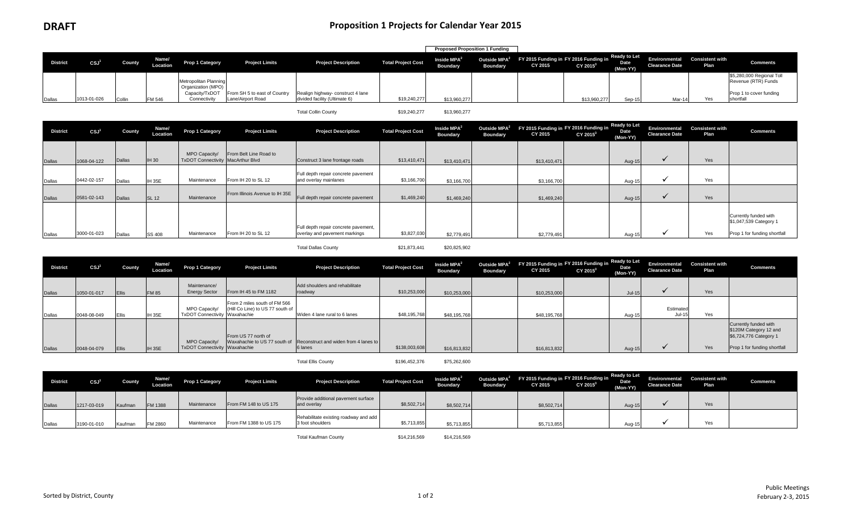|                 |             |        |                   |                                             |                              |                                   |                           | <b>Proposed Proposition 1 Funding</b> |                 |                                                                                        |                      |                         |                                                        |             |                                                  |
|-----------------|-------------|--------|-------------------|---------------------------------------------|------------------------------|-----------------------------------|---------------------------|---------------------------------------|-----------------|----------------------------------------------------------------------------------------|----------------------|-------------------------|--------------------------------------------------------|-------------|--------------------------------------------------|
| <b>District</b> | CSJ'        | County | Name/<br>Location | Prop 1 Category                             | <b>Project Limits</b>        | <b>Project Description</b>        | <b>Total Project Cost</b> | Inside $MPA2$<br><b>Boundary</b>      | <b>Boundary</b> | Outside MPA <sup>2</sup> FY 2015 Funding in FY 2016 Funding in Ready to Let<br>CY 2015 | CY 2015 <sup>3</sup> | <b>Date</b><br>'Mon-YY) | Environmental Consistent with<br><b>Clearance Date</b> | <b>Plan</b> | <b>Comments</b>                                  |
|                 |             |        |                   | Metropolitan Planning<br>Organization (MPO) |                              |                                   |                           |                                       |                 |                                                                                        |                      |                         |                                                        |             | \$5,280,000 Regional Toll<br>Revenue (RTR) Funds |
|                 |             |        |                   | Capacity/TxDOT                              | From SH 5 to east of Country | Realign highway- construct 4 lane |                           |                                       |                 |                                                                                        |                      |                         |                                                        |             | Prop 1 to cover funding                          |
| Dallas          | 1013-01-026 | Collir | FM 546            | Connectivity                                | Lane/Airport Road            | divided facility (Ultimate 6)     | \$19,240,277              | \$13,960,277                          |                 |                                                                                        | \$13,960,277         | Sep-15                  | Mar-14                                                 | Yes         | shortfall                                        |

Total Collin County **\$19,240,277** \$13,960,277

| <b>District</b> | CSJ <sup>1</sup> | County | Name/<br>Location | <b>Prop 1 Category</b>                             | <b>Project Limits</b>          | <b>Project Description</b>                                            | <b>Total Project Cost</b> | Inside MPA <sup>2</sup><br><b>Boundary</b> | <b>Boundary</b> | Outside MPA <sup>2</sup> FY 2015 Funding in FY 2016 Funding in Ready to Let<br>CY 2015 | CY 2015 <sup>3</sup> | Date<br>(Mon-YY) | Environmental<br><b>Clearance Date</b> | <b>Consistent with</b><br>Plan | <b>Comments</b>                                                                 |
|-----------------|------------------|--------|-------------------|----------------------------------------------------|--------------------------------|-----------------------------------------------------------------------|---------------------------|--------------------------------------------|-----------------|----------------------------------------------------------------------------------------|----------------------|------------------|----------------------------------------|--------------------------------|---------------------------------------------------------------------------------|
| Dallas          | 1068-04-122      | Dallas | <b>IH 30</b>      | MPO Capacity/<br>TxDOT Connectivity MacArthur Blvd | From Belt Line Road to         | Construct 3 lane frontage roads                                       | \$13,410,471              | \$13,410,471                               |                 | \$13,410,471                                                                           |                      | Aug-15           |                                        | Yes                            |                                                                                 |
| Dallas          | 0442-02-157      | Dallas | <b>IH 35E</b>     | Maintenance                                        | From IH 20 to SL 12            | Full depth repair concrete pavement<br>and overlay mainlanes          | \$3,166,700               | \$3,166,700                                |                 | \$3,166,700                                                                            |                      | Aug-15           |                                        | Yes                            |                                                                                 |
| Dallas          | 0581-02-143      | Dallas | <b>SL 12</b>      | Maintenance                                        | From Illinois Avenue to IH 35E | Full depth repair concrete pavement                                   | \$1,469,240               | \$1,469,240                                |                 | \$1,469,240                                                                            |                      | Aug-15           |                                        | Yes                            |                                                                                 |
| Dallas          | 3000-01-023      | Dallas | <b>SS 408</b>     | Maintenance                                        | From IH 20 to SL 12            | Full depth repair concrete pavement,<br>overlay and pavement markings | \$3,827,030               | \$2,779,491                                |                 | \$2,779,491                                                                            |                      | Aug-15           |                                        | Yes                            | Currently funded with<br>\$1,047,539 Category 1<br>Prop 1 for funding shortfall |

Total Dallas County 621,873,441 \$20,825,902

| <b>District</b> | CSJ'        | County       | Name/<br>Location | <b>Prop 1 Category</b>                                | <b>Project Limits</b>                                            | <b>Project Description</b>                                                    | <b>Total Project Cost</b> | Inside MPA <sup>2</sup><br><b>Boundary</b> | Boundary | Outside MPA <sup>2</sup> FY 2015 Funding in FY 2016 Funding in Ready to Let<br>CY 2015 | CY 2015 <sup>3</sup> | Date<br>(Mon-YY) | Environmental<br><b>Clearance Date</b> | <b>Consistent with</b><br>Plan | <b>Comments</b>                                                                                           |
|-----------------|-------------|--------------|-------------------|-------------------------------------------------------|------------------------------------------------------------------|-------------------------------------------------------------------------------|---------------------------|--------------------------------------------|----------|----------------------------------------------------------------------------------------|----------------------|------------------|----------------------------------------|--------------------------------|-----------------------------------------------------------------------------------------------------------|
| Dallas          | 1050-01-017 | <b>Ellis</b> | <b>FM 85</b>      | Maintenance/<br><b>Energy Sector</b>                  | From IH 45 to FM 1182                                            | Add shoulders and rehabilitate<br>roadway                                     | \$10,253,000              | \$10,253,000                               |          | \$10,253,000                                                                           |                      | $Jul-15$         |                                        | Yes                            |                                                                                                           |
| Dallas          | 0048-08-049 |              | <b>IH 35E</b>     | MPO Capacity/<br><b>TxDOT Connectivity Waxahachie</b> | From 2 miles south of FM 566<br>(Hill Co Line) to US 77 south of | Widen 4 lane rural to 6 lanes                                                 | \$48,195,768              | \$48,195,768                               |          | \$48,195,768                                                                           |                      | Aug-15           | Estimated<br>$Jul-15$                  | Yes                            |                                                                                                           |
| Dallas          | 0048-04-079 | Ellis        | <b>IH 35E</b>     | MPO Capacity/<br><b>TxDOT Connectivity Waxahachie</b> | From US 77 north of                                              | Waxahachie to US 77 south of Reconstruct and widen from 4 lanes to<br>6 lanes | \$138,003,608             | \$16,813,832                               |          | \$16,813,832                                                                           |                      | Aug-15           |                                        | Yes                            | Currently funded with<br>\$120M Category 12 and<br>\$6,724,776 Category 1<br>Prop 1 for funding shortfall |

Total Ellis County **\$196,452,376** \$75,262,600

**District CSJ1 County Name/ Location Prop 1 Category Project Limits Project Description Total Project Cost Inside MPA2 Boundary Outside MPA2 Boundary FY 2015 Funding in CY 2015 FY 2016 Funding in CY 20153 Ready to Let Date (Mon-YY) Environmental Clearance Date Consistent with Plan Comments** Dallas 1217-03-019 Kaufman FM 1388 Maintenance From FM 148 to US 175 Provide additional pavement surface and overlay \$8,502,714 \$8,502,714 \$8,502,714 Aug-15 Yes Dallas 3190-01-010 Kaufman FM 2860 Maintenance From FM 1388 to US 175 Rehabilitate existing roadway and add<br>3 foot shoulders 3 foot shoulders \$5,713,855 \$5,713,855 \$5,713,855 Aug-15 Yes

Total Kaufman County **\$14,216,569** \$14,216,569